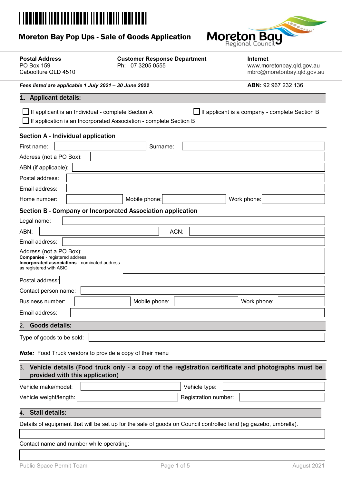# <u> || ||| || ||| |||||| |||||| |||</u>

# Moreton Bay Pop Ups - Sale of Goods Application



| <b>Postal Address</b><br><b>PO Box 159</b><br>Caboolture QLD 4510                                                                            | <b>Customer Response Department</b><br>Ph: 07 3205 0555 | <b>Internet</b><br>www.moretonbay.qld.gov.au<br>mbrc@moretonbay.qld.gov.au |  |  |
|----------------------------------------------------------------------------------------------------------------------------------------------|---------------------------------------------------------|----------------------------------------------------------------------------|--|--|
| Fees listed are applicable 1 July 2021 - 30 June 2022                                                                                        |                                                         | ABN: 92 967 232 136                                                        |  |  |
| <b>Applicant details:</b><br>1.                                                                                                              |                                                         |                                                                            |  |  |
| If applicant is an Individual - complete Section A<br>If application is an Incorporated Association - complete Section B                     |                                                         | If applicant is a company - complete Section B                             |  |  |
| Section A - Individual application                                                                                                           |                                                         |                                                                            |  |  |
| First name:                                                                                                                                  | Surname:                                                |                                                                            |  |  |
| Address (not a PO Box):                                                                                                                      |                                                         |                                                                            |  |  |
| ABN (if applicable):                                                                                                                         |                                                         |                                                                            |  |  |
| Postal address:                                                                                                                              |                                                         |                                                                            |  |  |
| Email address:                                                                                                                               |                                                         |                                                                            |  |  |
| Home number:                                                                                                                                 | Mobile phone:                                           | Work phone:                                                                |  |  |
| Section B - Company or Incorporated Association application                                                                                  |                                                         |                                                                            |  |  |
| Legal name:                                                                                                                                  |                                                         |                                                                            |  |  |
| ABN:                                                                                                                                         | ACN:                                                    |                                                                            |  |  |
| Email address:                                                                                                                               |                                                         |                                                                            |  |  |
| Address (not a PO Box):<br><b>Companies</b> - registered address<br>Incorporated associations - nominated address<br>as registered with ASIC |                                                         |                                                                            |  |  |
| Postal address:                                                                                                                              |                                                         |                                                                            |  |  |
| Contact person name:                                                                                                                         |                                                         |                                                                            |  |  |
| Business number:                                                                                                                             | Mobile phone:                                           | Work phone:                                                                |  |  |
| Email address:                                                                                                                               |                                                         |                                                                            |  |  |
| <b>Goods details:</b><br>2.                                                                                                                  |                                                         |                                                                            |  |  |
| Type of goods to be sold:                                                                                                                    |                                                         |                                                                            |  |  |
| <b>Note:</b> Food Truck vendors to provide a copy of their menu                                                                              |                                                         |                                                                            |  |  |
| Vehicle details (Food truck only - a copy of the registration certificate and photographs must be<br>3.<br>provided with this application)   |                                                         |                                                                            |  |  |
| Vehicle make/model:                                                                                                                          | Vehicle type:                                           |                                                                            |  |  |
| Vehicle weight/length:                                                                                                                       | Registration number:                                    |                                                                            |  |  |
| 4. Stall details:                                                                                                                            |                                                         |                                                                            |  |  |
|                                                                                                                                              |                                                         |                                                                            |  |  |
| Details of equipment that will be set up for the sale of goods on Council controlled land (eg gazebo, umbrella).                             |                                                         |                                                                            |  |  |
| Contact name and number while operating:                                                                                                     |                                                         |                                                                            |  |  |
|                                                                                                                                              |                                                         |                                                                            |  |  |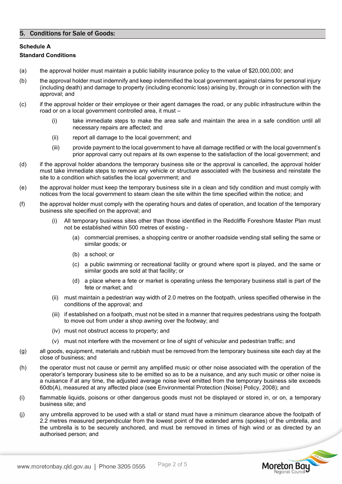## 5. Conditions for Sale of Goods:

## **Schedule A**

### **Standard Conditions**

- (a) the approval holder must maintain a public liability insurance policy to the value of \$20,000,000; and
- (b) the approval holder must indemnify and keep indemnified the local government against claims for personal injury (including death) and damage to property (including economic loss) arising by, through or in connection with the approval; and
- (c) if the approval holder or their employee or their agent damages the road, or any public infrastructure within the road or on a local government controlled area, it must –
	- (i) take immediate steps to make the area safe and maintain the area in a safe condition until all necessary repairs are affected; and
	- (ii) report all damage to the local government; and
	- (iii) provide payment to the local government to have all damage rectified or with the local government's prior approval carry out repairs at its own expense to the satisfaction of the local government; and
- (d) if the approval holder abandons the temporary business site or the approval is cancelled, the approval holder must take immediate steps to remove any vehicle or structure associated with the business and reinstate the site to a condition which satisfies the local government; and
- (e) the approval holder must keep the temporary business site in a clean and tidy condition and must comply with notices from the local government to steam clean the site within the time specified within the notice; and
- (f) the approval holder must comply with the operating hours and dates of operation, and location of the temporary business site specified on the approval; and
	- All temporary business sites other than those identified in the Redcliffe Foreshore Master Plan must not be established within 500 metres of existing -
		- (a) commercial premises, a shopping centre or another roadside vending stall selling the same or similar goods; or
		- (b) a school; or
		- (c) a public swimming or recreational facility or ground where sport is played, and the same or similar goods are sold at that facility; or
		- (d) a place where a fete or market is operating unless the temporary business stall is part of the fete or market; and
	- (ii) must maintain a pedestrian way width of 2.0 metres on the footpath, unless specified otherwise in the conditions of the approval; and
	- (iii) if established on a footpath, must not be sited in a manner that requires pedestrians using the footpath to move out from under a shop awning over the footway; and
	- (iv) must not obstruct access to property; and
	- (v) must not interfere with the movement or line of sight of vehicular and pedestrian traffic; and
- (g) all goods, equipment, materials and rubbish must be removed from the temporary business site each day at the close of business; and
- (h) the operator must not cause or permit any amplified music or other noise associated with the operation of the operator's temporary business site to be emitted so as to be a nuisance, and any such music or other noise is a nuisance if at any time, the adjusted average noise level emitted from the temporary business site exceeds 60db(A), measured at any affected place (see Environmental Protection (Noise) Policy, 2008); and
- (i) flammable liquids, poisons or other dangerous goods must not be displayed or stored in, or on, a temporary business site; and
- (j) any umbrella approved to be used with a stall or stand must have a minimum clearance above the footpath of 2.2 metres measured perpendicular from the lowest point of the extended arms (spokes) of the umbrella, and the umbrella is to be securely anchored, and must be removed in times of high wind or as directed by an authorised person; and

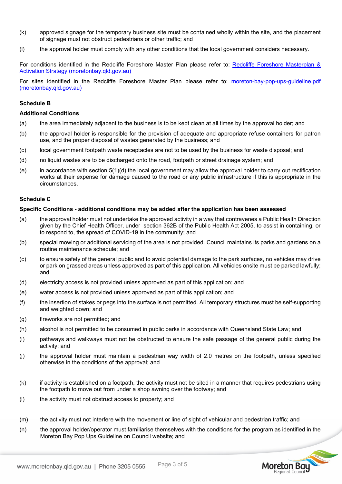- (k) approved signage for the temporary business site must be contained wholly within the site, and the placement of signage must not obstruct pedestrians or other traffic; and
- (l) the approval holder must comply with any other conditions that the local government considers necessary.

For conditions identified in the Redcliffe Foreshore Master Plan please refer to: [Redcliffe Foreshore Masterplan &](https://www.moretonbay.qld.gov.au/files/assets/public/services/publications/redcliffe-foreshore-master-plan.pdf)  Activation Strategy (moretonbay.gld.gov.au)

For sites identified in the Redcliffe Foreshore Master Plan please refer to: [moreton-bay-pop-ups-guideline.pdf](https://www.moretonbay.qld.gov.au/files/assets/public/services/licence-regulations/moreton-bay-pop-ups-guideline.pdf)  [\(moretonbay.qld.gov.au\)](https://www.moretonbay.qld.gov.au/files/assets/public/services/licence-regulations/moreton-bay-pop-ups-guideline.pdf)

#### **Schedule B**

#### **Additional Conditions**

- (a) the area immediately adjacent to the business is to be kept clean at all times by the approval holder; and
- (b) the approval holder is responsible for the provision of adequate and appropriate refuse containers for patron use, and the proper disposal of wastes generated by the business; and
- (c) local government footpath waste receptacles are not to be used by the business for waste disposal; and
- (d) no liquid wastes are to be discharged onto the road, footpath or street drainage system; and
- (e) in accordance with section 5(1)(d) the local government may allow the approval holder to carry out rectification works at their expense for damage caused to the road or any public infrastructure if this is appropriate in the circumstances.

#### **Schedule C**

#### **Specific Conditions - additional conditions may be added after the application has been assessed**

- (a) the approval holder must not undertake the approved activity in a way that contravenes a Public Health Direction given by the Chief Health Officer, under section 362B of the Public Health Act 2005, to assist in containing, or to respond to, the spread of COVID-19 in the community; and
- (b) special mowing or additional servicing of the area is not provided. Council maintains its parks and gardens on a routine maintenance schedule; and
- (c) to ensure safety of the general public and to avoid potential damage to the park surfaces, no vehicles may drive or park on grassed areas unless approved as part of this application. All vehicles onsite must be parked lawfully; and
- (d) electricity access is not provided unless approved as part of this application; and
- (e) water access is not provided unless approved as part of this application; and
- (f) the insertion of stakes or pegs into the surface is not permitted. All temporary structures must be self-supporting and weighted down; and
- (g) fireworks are not permitted; and
- (h) alcohol is not permitted to be consumed in public parks in accordance with Queensland State Law; and
- (i) pathways and walkways must not be obstructed to ensure the safe passage of the general public during the activity; and
- (j) the approval holder must maintain a pedestrian way width of 2.0 metres on the footpath, unless specified otherwise in the conditions of the approval; and
- (k) if activity is established on a footpath, the activity must not be sited in a manner that requires pedestrians using the footpath to move out from under a shop awning over the footway; and
- (l) the activity must not obstruct access to property; and
- (m) the activity must not interfere with the movement or line of sight of vehicular and pedestrian traffic; and
- (n) the approval holder/operator must familiarise themselves with the conditions for the program as identified in the Moreton Bay Pop Ups Guideline on Council website; and

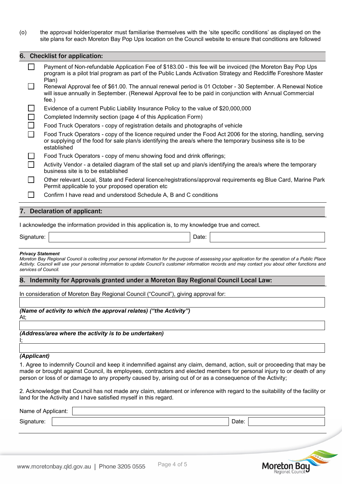(o) the approval holder/operator must familiarise themselves with the 'site specific conditions' as displayed on the site plans for each Moreton Bay Pop Ups location on the Council website to ensure that conditions are followed

| 6. Checklist for application:                                                                                                                                                                                                               |
|---------------------------------------------------------------------------------------------------------------------------------------------------------------------------------------------------------------------------------------------|
| Payment of Non-refundable Application Fee of \$183.00 - this fee will be invoiced (the Moreton Bay Pop Ups<br>program is a pilot trial program as part of the Public Lands Activation Strategy and Redcliffe Foreshore Master<br>Plan)      |
| Renewal Approval fee of \$61.00. The annual renewal period is 01 October - 30 September. A Renewal Notice<br>will issue annually in September. (Renewal Approval fee to be paid in conjunction with Annual Commercial<br>$fee.$ )           |
| Evidence of a current Public Liability Insurance Policy to the value of \$20,000,000                                                                                                                                                        |
| Completed Indemnity section (page 4 of this Application Form)                                                                                                                                                                               |
| Food Truck Operators - copy of registration details and photographs of vehicle                                                                                                                                                              |
| Food Truck Operators - copy of the licence required under the Food Act 2006 for the storing, handling, serving<br>or supplying of the food for sale plan/s identifying the area/s where the temporary business site is to be<br>established |
| Food Truck Operators - copy of menu showing food and drink offerings;                                                                                                                                                                       |
| Activity Vendor - a detailed diagram of the stall set up and plan/s identifying the area/s where the temporary<br>business site is to be established                                                                                        |
| Other relevant Local, State and Federal licence/registrations/approval requirements eg Blue Card, Marine Park<br>Permit applicable to your proposed operation etc                                                                           |
| Confirm I have read and understood Schedule A, B and C conditions                                                                                                                                                                           |

## 7. Declaration of applicant:

I acknowledge the information provided in this application is, to my knowledge true and correct.

Signature: | Note: | Date: | Date: | Date: | Date: | Date: | Date: | Date: | Date: | Date: | Date: | Date: | Date: | Date: | Date: | Date: | Date: | Date: | Date: | Date: | Date: | Date: | Date: | Date: | Date: | Date: | D

#### *Privacy Statement*

*Moreton Bay Regional Council is collecting your personal information for the purpose of assessing your application for the operation of a Public Place*  Activity. Council will use your personal information to update Council's customer information records and may contact you about other functions and *services of Council.*

#### 8. Indemnity for Approvals granted under a Moreton Bay Regional Council Local Law:

In consideration of Moreton Bay Regional Council ("Council"), giving approval for:

| (Name of activity to which the approval relates) ("the Activity") |  |
|-------------------------------------------------------------------|--|
| At:                                                               |  |
|                                                                   |  |
| (Address/area where the activity is to be undertaken)             |  |
|                                                                   |  |
|                                                                   |  |

#### *(Applicant)*

1. Agree to indemnify Council and keep it indemnified against any claim, demand, action, suit or proceeding that may be made or brought against Council, its employees, contractors and elected members for personal injury to or death of any person or loss of or damage to any property caused by, arising out of or as a consequence of the Activity;

2. Acknowledge that Council has not made any claim, statement or inference with regard to the suitability of the facility or land for the Activity and I have satisfied myself in this regard.

| Name of Applicant: |                           |  |
|--------------------|---------------------------|--|
| Signature:         | <b>Dot</b><br><b>Dalc</b> |  |